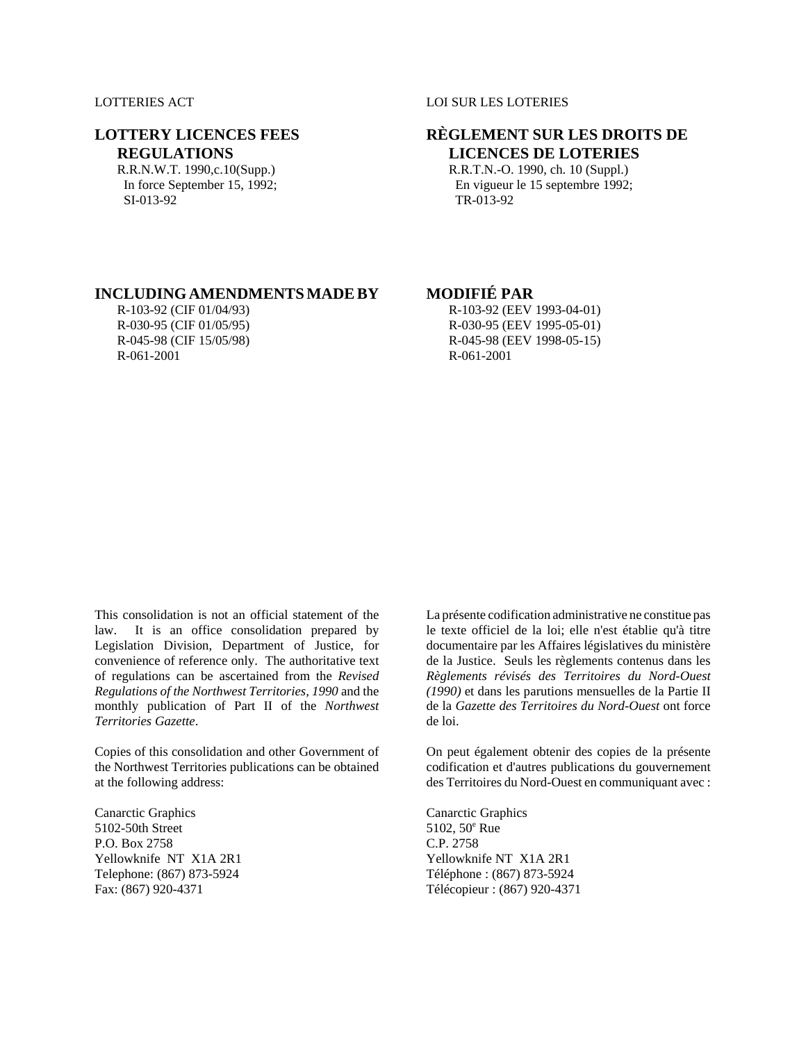## **LOTTERY LICENCES FEES REGULATIONS**

R.R.N.W.T. 1990,c.10(Supp.) In force September 15, 1992; SI-013-92

## LOTTERIES ACT LOI SUR LES LOTERIES

## **RÈGLEMENT SUR LES DROITS DE LICENCES DE LOTERIES**

R.R.T.N.-O. 1990, ch. 10 (Suppl.) En vigueur le 15 septembre 1992; TR-013-92

# **INCLUDING AMENDMENTS MADE BY MODIFIÉ PAR**

R-103-92 (CIF 01/04/93) R-030-95 (CIF 01/05/95) R-045-98 (CIF 15/05/98) R-061-2001

R-103-92 (EEV 1993-04-01) R-030-95 (EEV 1995-05-01) R-045-98 (EEV 1998-05-15) R-061-2001

This consolidation is not an official statement of the law. It is an office consolidation prepared by Legislation Division, Department of Justice, for convenience of reference only. The authoritative text of regulations can be ascertained from the *Revised Regulations of the Northwest Territories, 1990* and the monthly publication of Part II of the *Northwest Territories Gazette*.

Copies of this consolidation and other Government of the Northwest Territories publications can be obtained at the following address:

Canarctic Graphics 5102-50th Street P.O. Box 2758 Yellowknife NT X1A 2R1 Telephone: (867) 873-5924 Fax: (867) 920-4371

La présente codification administrative ne constitue pas le texte officiel de la loi; elle n'est établie qu'à titre documentaire par les Affaires législatives du ministère de la Justice. Seuls les règlements contenus dans les *Règlements révisés des Territoires du Nord-Ouest (1990)* et dans les parutions mensuelles de la Partie II de la *Gazette des Territoires du Nord-Ouest* ont force de loi.

On peut également obtenir des copies de la présente codification et d'autres publications du gouvernement des Territoires du Nord-Ouest en communiquant avec :

Canarctic Graphics 5102, 50<sup>e</sup> Rue C.P. 2758 Yellowknife NT X1A 2R1 Téléphone : (867) 873-5924 Télécopieur : (867) 920-4371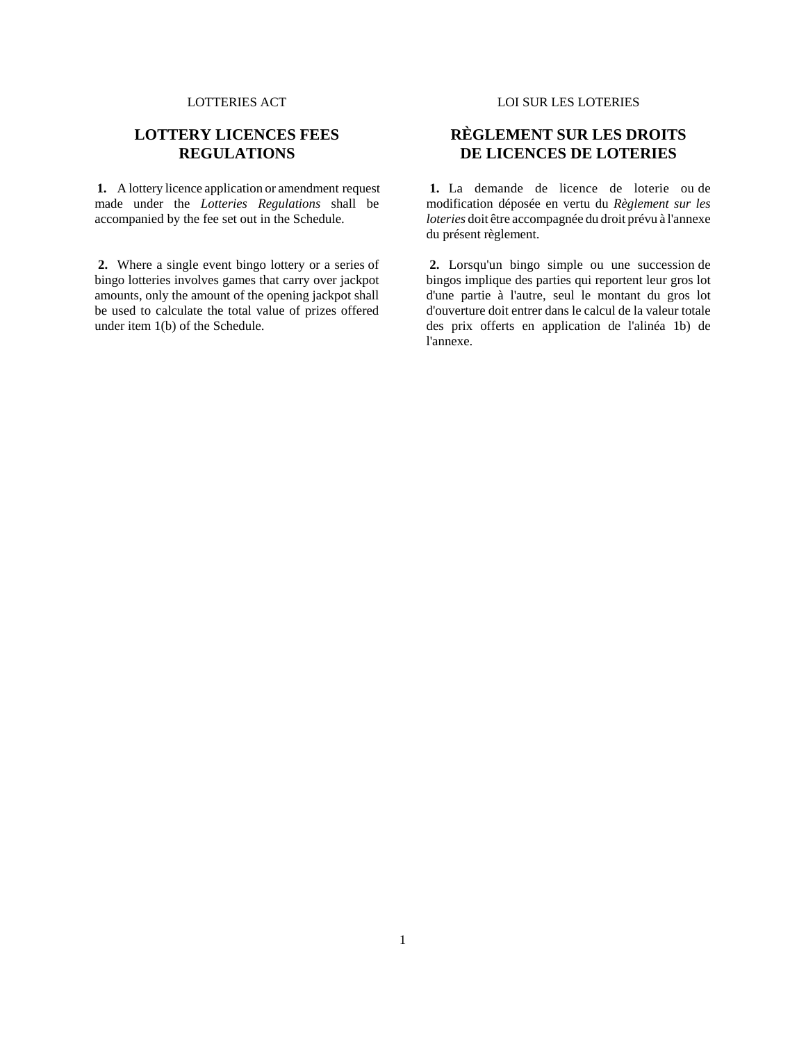## **LOTTERY LICENCES FEES REGULATIONS**

**1.** A lottery licence application or amendment request made under the *Lotteries Regulations* shall be accompanied by the fee set out in the Schedule.

**2.** Where a single event bingo lottery or a series of bingo lotteries involves games that carry over jackpot amounts, only the amount of the opening jackpot shall be used to calculate the total value of prizes offered under item 1(b) of the Schedule.

## LOTTERIES ACT LOI SUR LES LOTERIES

# **RÈGLEMENT SUR LES DROITS DE LICENCES DE LOTERIES**

**1.** La demande de licence de loterie ou de modification déposée en vertu du *Règlement sur les loteries* doit être accompagnée du droit prévu à l'annexe du présent règlement.

**2.** Lorsqu'un bingo simple ou une succession de bingos implique des parties qui reportent leur gros lot d'une partie à l'autre, seul le montant du gros lot d'ouverture doit entrer dans le calcul de la valeur totale des prix offerts en application de l'alinéa 1b) de l'annexe.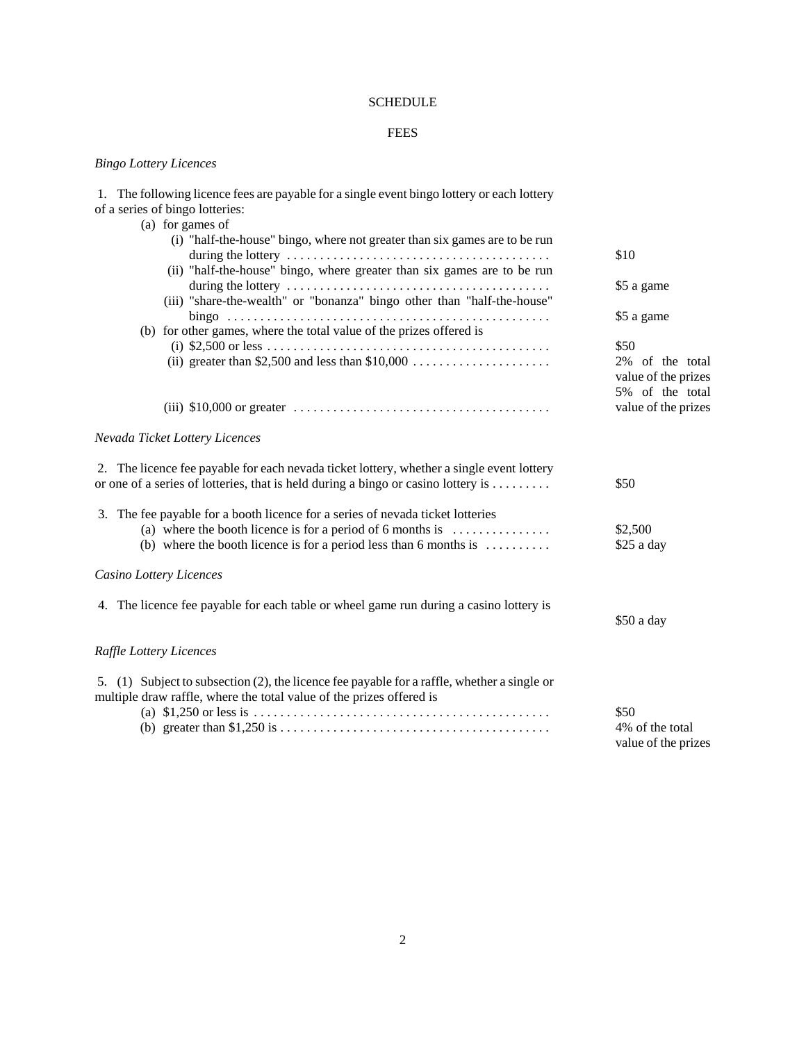## SCHEDULE

# FEES

# *Bingo Lottery Licences*

| 1. The following licence fees are payable for a single event bingo lottery or each lottery<br>of a series of bingo lotteries: |                     |
|-------------------------------------------------------------------------------------------------------------------------------|---------------------|
| (a) for games of                                                                                                              |                     |
| (i) "half-the-house" bingo, where not greater than six games are to be run                                                    |                     |
|                                                                                                                               | \$10                |
| (ii) "half-the-house" bingo, where greater than six games are to be run                                                       |                     |
|                                                                                                                               | \$5 a game          |
| (iii) "share-the-wealth" or "bonanza" bingo other than "half-the-house"                                                       |                     |
|                                                                                                                               | \$5 a game          |
| (b) for other games, where the total value of the prizes offered is                                                           |                     |
|                                                                                                                               | \$50                |
|                                                                                                                               | 2% of the total     |
|                                                                                                                               | value of the prizes |
|                                                                                                                               | 5% of the total     |
|                                                                                                                               | value of the prizes |
|                                                                                                                               |                     |
| Nevada Ticket Lottery Licences                                                                                                |                     |
|                                                                                                                               |                     |
| 2. The licence fee payable for each nevada ticket lottery, whether a single event lottery                                     |                     |
| or one of a series of lotteries, that is held during a bingo or casino lottery is                                             | \$50                |
|                                                                                                                               |                     |
| 3. The fee payable for a booth licence for a series of nevada ticket lotteries                                                |                     |
| (a) where the booth licence is for a period of 6 months is $\dots\dots\dots\dots\dots$                                        | \$2,500             |
| (b) where the booth licence is for a period less than 6 months is $\dots\dots\dots$                                           | \$25 a day          |
| Casino Lottery Licences                                                                                                       |                     |
|                                                                                                                               |                     |
| 4. The licence fee payable for each table or wheel game run during a casino lottery is                                        |                     |
|                                                                                                                               | \$50 a day          |
|                                                                                                                               |                     |
| Raffle Lottery Licences                                                                                                       |                     |
| 5. (1) Subject to subsection (2), the licence fee payable for a raffle, whether a single or                                   |                     |
| multiple draw raffle, where the total value of the prizes offered is                                                          |                     |
|                                                                                                                               | \$50                |
|                                                                                                                               | 4% of the total     |
|                                                                                                                               | value of the prizes |
|                                                                                                                               |                     |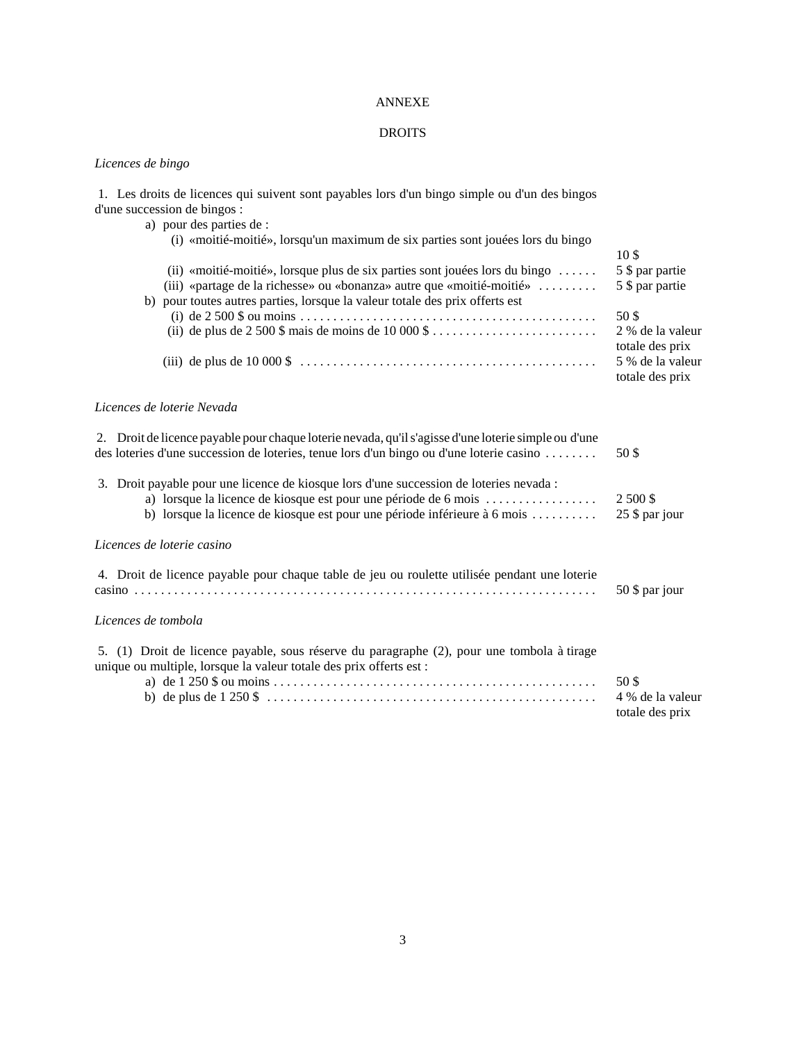### ANNEXE

### DROITS

### *Licences de bingo*

 1. Les droits de licences qui suivent sont payables lors d'un bingo simple ou d'un des bingos d'une succession de bingos : a) pour des parties de : (i) «moitié-moitié», lorsqu'un maximum de six parties sont jouées lors du bingo 10 \$ (ii) «moitié-moitié», lorsque plus de six parties sont jouées lors du bingo . . . . . . 5 \$ par partie (iii) «partage de la richesse» ou «bonanza» autre que «moitié-moitié» . . . . . . . . . 5 \$ par partie b) pour toutes autres parties, lorsque la valeur totale des prix offerts est (i) de 2 500 \$ ou moins . . . . . . . . . . . . . . . . . . . . . . . . . . . . . . . . . . . . . . . . . . . . . 50 \$ (ii) de plus de 2 500 \$ mais de moins de 10 000 \$ . . . . . . . . . . . . . . . . . . . . . . . . . 2 % de la valeur totale des prix (iii) de plus de 10 000 \$ . . . . . . . . . . . . . . . . . . . . . . . . . . . . . . . . . . . . . . . . . . . . . 5 % de la valeur totale des prix *Licences de loterie Nevada* 2. Droit de licence payable pour chaque loterie nevada, qu'il s'agisse d'une loterie simple ou d'une des loteries d'une succession de loteries, tenue lors d'un bingo ou d'une loterie casino . . . . . . . . 50 \$ 3. Droit payable pour une licence de kiosque lors d'une succession de loteries nevada : a) lorsque la licence de kiosque est pour une période de 6 mois . . . . . . . . . . . . . . . . . . 2 500 \$ b) lorsque la licence de kiosque est pour une période inférieure à 6 mois . . . . . . . . . . 25 \$ par jour *Licences de loterie casino* 4. Droit de licence payable pour chaque table de jeu ou roulette utilisée pendant une loterie casino . . . . . . . . . . . . . . . . . . . . . . . . . . . . . . . . . . . . . . . . . . . . . . . . . . . . . . . . . . . . . . . . . . . . . . 50 \$ par jour *Licences de tombola* 5. (1) Droit de licence payable, sous réserve du paragraphe (2), pour une tombola à tirage unique ou multiple, lorsque la valeur totale des prix offerts est : a) de 1 250 \$ ou moins . . . . . . . . . . . . . . . . . . . . . . . . . . . . . . . . . . . . . . . . . . . . . . . . . 50 \$ b) de plus de 1 250 \$ . . . . . . . . . . . . . . . . . . . . . . . . . . . . . . . . . . . . . . . . . . . . . . . . . . 4 % de la valeur totale des prix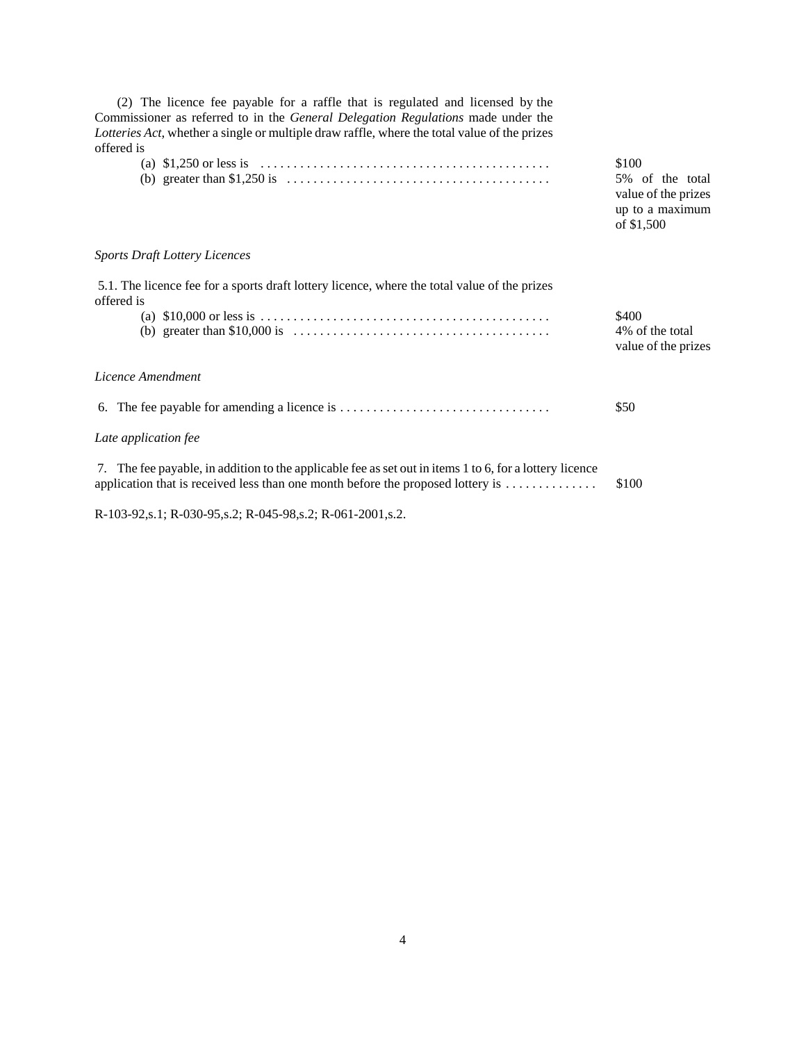| Commissioner as referred to in the <i>General Delegation Regulations</i> made under the<br>Lotteries Act, whether a single or multiple draw raffle, where the total value of the prizes<br>offered is             |                                                                                  |  |
|-------------------------------------------------------------------------------------------------------------------------------------------------------------------------------------------------------------------|----------------------------------------------------------------------------------|--|
|                                                                                                                                                                                                                   | \$100<br>5% of the total<br>value of the prizes<br>up to a maximum<br>of \$1,500 |  |
| <b>Sports Draft Lottery Licences</b>                                                                                                                                                                              |                                                                                  |  |
| 5.1. The licence fee for a sports draft lottery licence, where the total value of the prizes<br>offered is                                                                                                        | \$400<br>4\% of the total<br>value of the prizes                                 |  |
| Licence Amendment                                                                                                                                                                                                 |                                                                                  |  |
|                                                                                                                                                                                                                   | \$50                                                                             |  |
| Late application fee                                                                                                                                                                                              |                                                                                  |  |
| 7. The fee payable, in addition to the applicable fee as set out in items 1 to 6, for a lottery licence<br>application that is received less than one month before the proposed lottery is $\dots\dots\dots\dots$ | \$100                                                                            |  |

(2) The licence fee payable for a raffle that is regulated and licensed by the

R-103-92,s.1; R-030-95,s.2; R-045-98,s.2; R-061-2001,s.2.